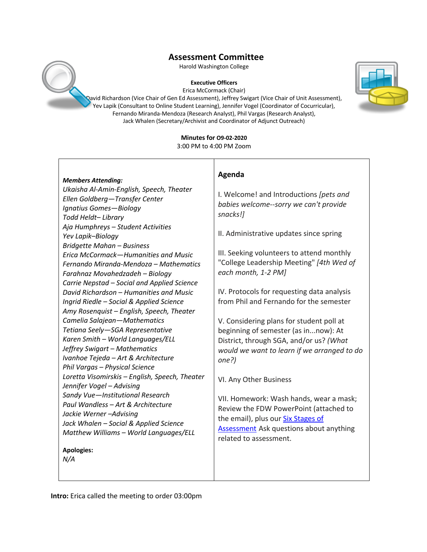Harold Washington College

#### **Executive Officers**

Erica McCormack (Chair)

David Richardson (Vice Chair of Gen Ed Assessment), Jeffrey Swigart (Vice Chair of Unit Assessment), Yev Lapik (Consultant to Online Student Learning), Jennifer Vogel (Coordinator of Cocurricular), Fernando Miranda-Mendoza (Research Analyst), Phil Vargas (Research Analyst), Jack Whalen (Secretary/Archivist and Coordinator of Adjunct Outreach)

# **Minutes for O9-02-2020**

3:00 PM to 4:00 PM Zoom

**Agenda**

|  | <b>Members Attending:</b> |
|--|---------------------------|
|--|---------------------------|

*Ukaisha Al-Amin-English, Speech, Theater Ellen Goldberg—Transfer Center Ignatius Gomes—Biology Todd Heldt– Library Aja Humphreys – Student Activities Yev Lapik–Biology Bridgette Mahan – Business Erica McCormack—Humanities and Music Fernando Miranda-Mendoza – Mathematics Farahnaz Movahedzadeh – Biology Carrie Nepstad – Social and Applied Science David Richardson – Humanities and Music Ingrid Riedle – Social & Applied Science Amy Rosenquist – English, Speech, Theater Camelia Salajean—Mathematics Tetiana Seely—SGA Representative Karen Smith – World Languages/ELL Jeffrey Swigart – Mathematics Ivanhoe Tejeda – Art & Architecture Phil Vargas – Physical Science Loretta Visomirskis – English, Speech, Theater Jennifer Vogel – Advising Sandy Vue—Institutional Research Paul Wandless – Art & Architecture Jackie Werner –Advising Jack Whalen – Social & Applied Science Matthew Williams – World Languages/ELL*

**Apologies:** 

*N/A*

I. Welcome! and Introductions *[pets and babies welcome--sorry we can't provide snacks!]* II. Administrative updates since spring III. Seeking volunteers to attend monthly "College Leadership Meeting" *[4th Wed of each month, 1-2 PM]*

> IV. Protocols for requesting data analysis from Phil and Fernando for the semester

V. Considering plans for student poll at beginning of semester (as in...now): At District, through SGA, and/or us? *(What would we want to learn if we arranged to do one?)*

VI. Any Other Business

VII. Homework: Wash hands, wear a mask; Review the FDW PowerPoint (attached to the email), plus our Six Stages of Assessment Ask questions about anything related to assessment.

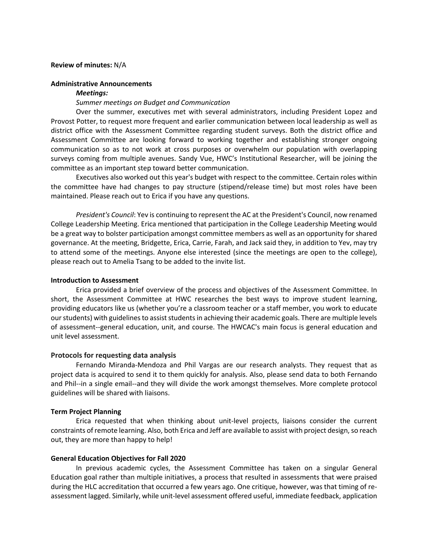### **Review of minutes:** N/A

# **Administrative Announcements**

#### *Meetings:*

# *Summer meetings on Budget and Communication*

Over the summer, executives met with several administrators, including President Lopez and Provost Potter, to request more frequent and earlier communication between local leadership as well as district office with the Assessment Committee regarding student surveys. Both the district office and Assessment Committee are looking forward to working together and establishing stronger ongoing communication so as to not work at cross purposes or overwhelm our population with overlapping surveys coming from multiple avenues. Sandy Vue, HWC's Institutional Researcher, will be joining the committee as an important step toward better communication.

Executives also worked out this year's budget with respect to the committee. Certain roles within the committee have had changes to pay structure (stipend/release time) but most roles have been maintained. Please reach out to Erica if you have any questions.

*President's Council*: Yev is continuing to represent the AC at the President's Council, now renamed College Leadership Meeting. Erica mentioned that participation in the College Leadership Meeting would be a great way to bolster participation amongst committee members as well as an opportunity for shared governance. At the meeting, Bridgette, Erica, Carrie, Farah, and Jack said they, in addition to Yev, may try to attend some of the meetings. Anyone else interested (since the meetings are open to the college), please reach out to Amelia Tsang to be added to the invite list.

# **Introduction to Assessment**

Erica provided a brief overview of the process and objectives of the Assessment Committee. In short, the Assessment Committee at HWC researches the best ways to improve student learning, providing educators like us (whether you're a classroom teacher or a staff member, you work to educate our students) with guidelines to assist students in achieving their academic goals. There are multiple levels of assessment--general education, unit, and course. The HWCAC's main focus is general education and unit level assessment.

# **Protocols for requesting data analysis**

Fernando Miranda-Mendoza and Phil Vargas are our research analysts. They request that as project data is acquired to send it to them quickly for analysis. Also, please send data to both Fernando and Phil--in a single email--and they will divide the work amongst themselves. More complete protocol guidelines will be shared with liaisons.

# **Term Project Planning**

Erica requested that when thinking about unit-level projects, liaisons consider the current constraints of remote learning. Also, both Erica and Jeff are available to assist with project design, so reach out, they are more than happy to help!

# **General Education Objectives for Fall 2020**

In previous academic cycles, the Assessment Committee has taken on a singular General Education goal rather than multiple initiatives, a process that resulted in assessments that were praised during the HLC accreditation that occurred a few years ago. One critique, however, was that timing of reassessment lagged. Similarly, while unit-level assessment offered useful, immediate feedback, application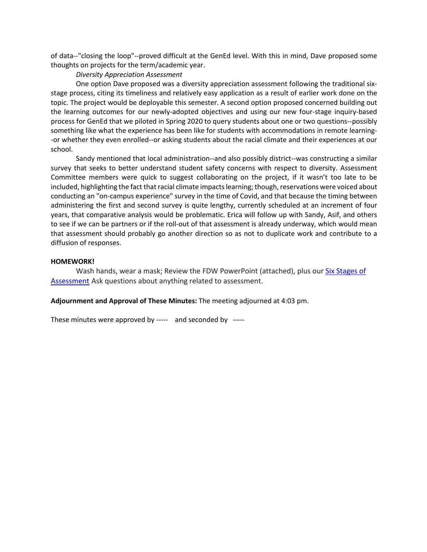of data--"closing the loop"--proved difficult at the GenEd level. With this in mind, Dave proposed some thoughts on projects for the term/academic year.

# *Diversity Appreciation Assessment*

One option Dave proposed was a diversity appreciation assessment following the traditional sixstage process, citing its timeliness and relatively easy application as a result of earlier work done on the topic. The project would be deployable this semester. A second option proposed concerned building out the learning outcomes for our newly-adopted objectives and using our new four-stage inquiry-based process for GenEd that we piloted in Spring 2020 to query students about one or two questions--possibly something like what the experience has been like for students with accommodations in remote learning- -or whether they even enrolled--or asking students about the racial climate and their experiences at our school.

Sandy mentioned that local administration--and also possibly district--was constructing a similar survey that seeks to better understand student safety concerns with respect to diversity. Assessment Committee members were quick to suggest collaborating on the project, if it wasn't too late to be included, highlighting the fact that racial climate impacts learning; though, reservations were voiced about conducting an "on-campus experience" survey in the time of Covid, and that because the timing between administering the first and second survey is quite lengthy, currently scheduled at an increment of four years, that comparative analysis would be problematic. Erica will follow up with Sandy, Asif, and others to see if we can be partners or if the roll-out of that assessment is already underway, which would mean that assessment should probably go another direction so as not to duplicate work and contribute to a diffusion of responses.

# **HOMEWORK!**

Wash hands, wear a mask; Review the FDW PowerPoint (attached), plus our **Six Stages of** Assessment Ask questions about anything related to assessment.

# **Adjournment and Approval of These Minutes:** The meeting adjourned at 4:03 pm.

These minutes were approved by ----- and seconded by -----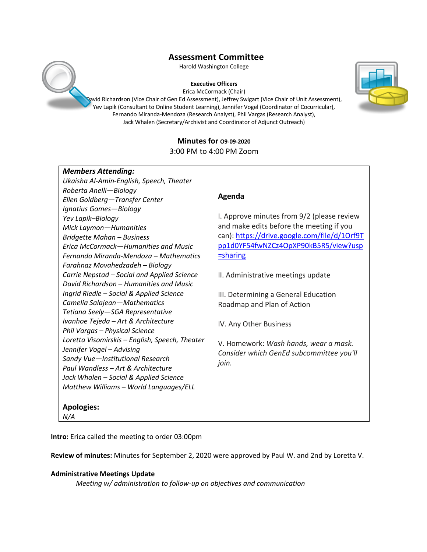Harold Washington College

#### **Executive Officers**

Erica McCormack (Chair)

David Richardson (Vice Chair of Gen Ed Assessment), Jeffrey Swigart (Vice Chair of Unit Assessment), Yev Lapik (Consultant to Online Student Learning), Jennifer Vogel (Coordinator of Cocurricular), Fernando Miranda-Mendoza (Research Analyst), Phil Vargas (Research Analyst), Jack Whalen (Secretary/Archivist and Coordinator of Adjunct Outreach)

# **Minutes for O9-09-2020** 3:00 PM to 4:00 PM Zoom

| <b>Members Attending:</b>                      |                                              |
|------------------------------------------------|----------------------------------------------|
| Ukaisha Al-Amin-English, Speech, Theater       |                                              |
| Roberta Anelli-Biology                         |                                              |
| Ellen Goldberg-Transfer Center                 | Agenda                                       |
| Ignatius Gomes-Biology                         |                                              |
| Yev Lapik-Biology                              | I. Approve minutes from 9/2 (please review   |
| Mick Laymon-Humanities                         | and make edits before the meeting if you     |
| Bridgette Mahan - Business                     | can): https://drive.google.com/file/d/10rf9T |
| Erica McCormack-Humanities and Music           | pp1d0YF54fwNZCz4OpXP90kB5R5/view?usp         |
| Fernando Miranda-Mendoza – Mathematics         | $=$ sharing                                  |
| Farahnaz Movahedzadeh - Biology                |                                              |
| Carrie Nepstad - Social and Applied Science    | II. Administrative meetings update           |
| David Richardson – Humanities and Music        |                                              |
| Ingrid Riedle - Social & Applied Science       | III. Determining a General Education         |
| Camelia Salajean-Mathematics                   | Roadmap and Plan of Action                   |
| Tetiana Seely-SGA Representative               |                                              |
| Ivanhoe Tejeda - Art & Architecture            | IV. Any Other Business                       |
| Phil Vargas - Physical Science                 |                                              |
| Loretta Visomirskis - English, Speech, Theater | V. Homework: Wash hands, wear a mask.        |
| Jennifer Vogel - Advising                      | Consider which GenEd subcommittee you'll     |
| Sandy Vue-Institutional Research               | join.                                        |
| Paul Wandless - Art & Architecture             |                                              |
| Jack Whalen - Social & Applied Science         |                                              |
| Matthew Williams - World Languages/ELL         |                                              |
|                                                |                                              |
| <b>Apologies:</b>                              |                                              |
| N/A                                            |                                              |

**Intro:** Erica called the meeting to order 03:00pm

**Review of minutes:** Minutes for September 2, 2020 were approved by Paul W. and 2nd by Loretta V.

# **Administrative Meetings Update**

*Meeting w/ administration to follow-up on objectives and communication*



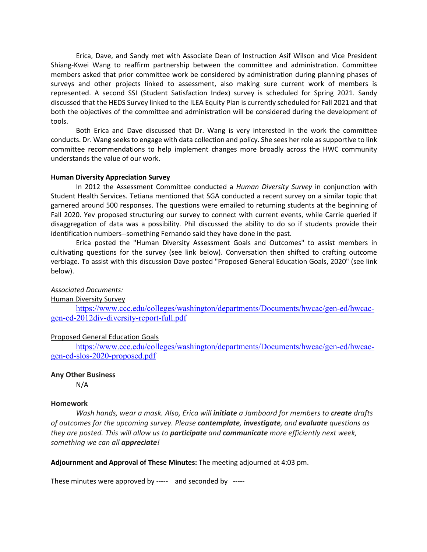Erica, Dave, and Sandy met with Associate Dean of Instruction Asif Wilson and Vice President Shiang-Kwei Wang to reaffirm partnership between the committee and administration. Committee members asked that prior committee work be considered by administration during planning phases of surveys and other projects linked to assessment, also making sure current work of members is represented. A second SSI (Student Satisfaction Index) survey is scheduled for Spring 2021. Sandy discussed that the HEDS Survey linked to the ILEA Equity Plan is currently scheduled for Fall 2021 and that both the objectives of the committee and administration will be considered during the development of tools.

Both Erica and Dave discussed that Dr. Wang is very interested in the work the committee conducts. Dr. Wang seeks to engage with data collection and policy. She sees her role as supportive to link committee recommendations to help implement changes more broadly across the HWC community understands the value of our work.

# **Human Diversity Appreciation Survey**

In 2012 the Assessment Committee conducted a *Human Diversity Survey* in conjunction with Student Health Services. Tetiana mentioned that SGA conducted a recent survey on a similar topic that garnered around 500 responses. The questions were emailed to returning students at the beginning of Fall 2020. Yev proposed structuring our survey to connect with current events, while Carrie queried if disaggregation of data was a possibility. Phil discussed the ability to do so if students provide their identification numbers--something Fernando said they have done in the past.

Erica posted the "Human Diversity Assessment Goals and Outcomes" to assist members in cultivating questions for the survey (see link below). Conversation then shifted to crafting outcome verbiage. To assist with this discussion Dave posted "Proposed General Education Goals, 2020" (see link below).

# *Associated Documents:*

Human Diversity Survey

https://www.ccc.edu/colleges/washington/departments/Documents/hwcac/gen-ed/hwcacgen-ed-2012div-diversity-report-full.pdf

# Proposed General Education Goals

https://www.ccc.edu/colleges/washington/departments/Documents/hwcac/gen-ed/hwcacgen-ed-slos-2020-proposed.pdf

#### **Any Other Business**

N/A

### **Homework**

*Wash hands, wear a mask. Also, Erica will initiate a Jamboard for members to create drafts of outcomes for the upcoming survey. Please contemplate, investigate, and evaluate questions as they are posted. This will allow us to participate and communicate more efficiently next week, something we can all appreciate!*

**Adjournment and Approval of These Minutes:** The meeting adjourned at 4:03 pm.

These minutes were approved by ----- and seconded by -----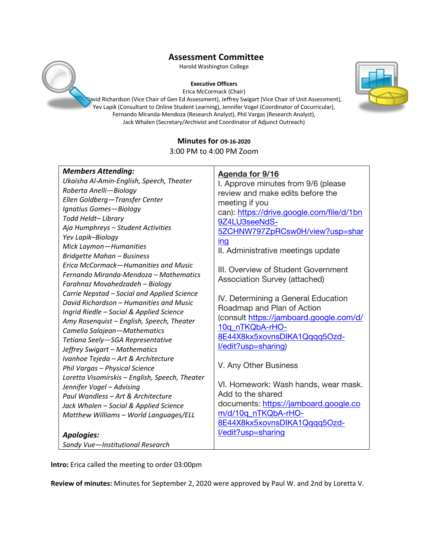Harold Washington College

#### **Executive Officers**

Erica McCormack (Chair)

David Richardson (Vice Chair of Gen Ed Assessment), Jeffrey Swigart (Vice Chair of Unit Assessment), Yev Lapik (Consultant to Online Student Learning), Jennifer Vogel (Coordinator of Cocurricular), Fernando Miranda-Mendoza (Research Analyst), Phil Vargas (Research Analyst), Jack Whalen (Secretary/Archivist and Coordinator of Adjunct Outreach)

# **Minutes for O9-16-2020**

3:00 PM to 4:00 PM Zoom

| Ellen Goldberg-Transfer Center<br>meeting if you<br>Ignatius Gomes-Biology<br>can): https://drive.google.com/file/d/1bn<br>Todd Heldt-Library<br>Aja Humphreys - Student Activities<br>Yev Lapik-Biology<br>ing<br>Mick Laymon-Humanities<br><b>Bridgette Mahan - Business</b><br>Erica McCormack-Humanities and Music<br>Fernando Miranda-Mendoza - Mathematics<br>Farahnaz Movahedzadeh - Biology<br>Carrie Nepstad - Social and Applied Science<br>David Richardson - Humanities and Music<br>Ingrid Riedle - Social & Applied Science<br>Amy Rosenquist - English, Speech, Theater<br>Camelia Salajean-Mathematics<br>Tetiana Seely-SGA Representative<br>Jeffrey Swigart - Mathematics<br>Ivanhoe Tejeda - Art & Architecture<br>Phil Vargas - Physical Science<br>Loretta Visomirskis - English, Speech, Theater<br>Jennifer Vogel - Advising<br>Paul Wandless - Art & Architecture<br>Jack Whalen - Social & Applied Science<br>Matthew Williams - World Languages/ELL | 9Z4LU3seeNdS-<br>5ZCHNW797ZpRCsw0H/view?usp=shar<br>II. Administrative meetings update<br>III. Overview of Student Government<br><b>Association Survey (attached)</b><br>IV. Determining a General Education<br>Roadmap and Plan of Action<br>(consult https://jamboard.google.com/d/<br>10q_nTKQbA-rHO-<br>8E44X8kx5xovnsDIKA1Qqqq5Ozd-<br>l/edit?usp=sharing)<br>V. Any Other Business<br>VI. Homework: Wash hands, wear mask.<br>Add to the shared<br>documents: https://jamboard.google.co<br>m/d/10q nTKQbA-rHO-<br>8E44X8kx5xovnsDIKA1Qqqq5Ozd-<br>l/edit?usp=sharing |
|-------------------------------------------------------------------------------------------------------------------------------------------------------------------------------------------------------------------------------------------------------------------------------------------------------------------------------------------------------------------------------------------------------------------------------------------------------------------------------------------------------------------------------------------------------------------------------------------------------------------------------------------------------------------------------------------------------------------------------------------------------------------------------------------------------------------------------------------------------------------------------------------------------------------------------------------------------------------------------|-----------------------------------------------------------------------------------------------------------------------------------------------------------------------------------------------------------------------------------------------------------------------------------------------------------------------------------------------------------------------------------------------------------------------------------------------------------------------------------------------------------------------------------------------------------------------------|
| <b>Apologies:</b><br>Sandy Vue-Institutional Research                                                                                                                                                                                                                                                                                                                                                                                                                                                                                                                                                                                                                                                                                                                                                                                                                                                                                                                         |                                                                                                                                                                                                                                                                                                                                                                                                                                                                                                                                                                             |

**Intro:** Erica called the meeting to order 03:00pm

**Review of minutes:** Minutes for September 2, 2020 were approved by Paul W. and 2nd by Loretta V.



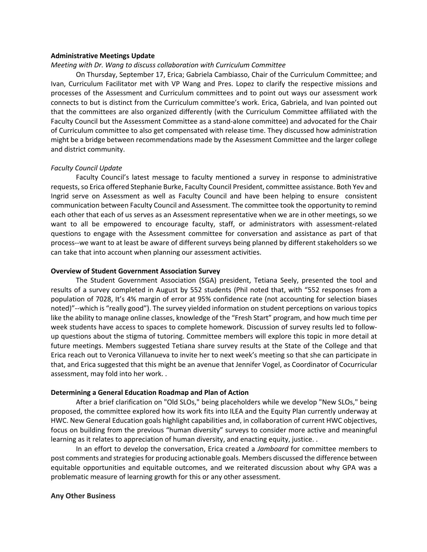#### **Administrative Meetings Update**

### *Meeting with Dr. Wang to discuss collaboration with Curriculum Committee*

On Thursday, September 17, Erica; Gabriela Cambiasso, Chair of the Curriculum Committee; and Ivan, Curriculum Facilitator met with VP Wang and Pres. Lopez to clarify the respective missions and processes of the Assessment and Curriculum committees and to point out ways our assessment work connects to but is distinct from the Curriculum committee's work. Erica, Gabriela, and Ivan pointed out that the committees are also organized differently (with the Curriculum Committee affiliated with the Faculty Council but the Assessment Committee as a stand-alone committee) and advocated for the Chair of Curriculum committee to also get compensated with release time. They discussed how administration might be a bridge between recommendations made by the Assessment Committee and the larger college and district community.

#### *Faculty Council Update*

Faculty Council's latest message to faculty mentioned a survey in response to administrative requests, so Erica offered Stephanie Burke, Faculty Council President, committee assistance. Both Yev and Ingrid serve on Assessment as well as Faculty Council and have been helping to ensure consistent communication between Faculty Council and Assessment. The committee took the opportunity to remind each other that each of us serves as an Assessment representative when we are in other meetings, so we want to all be empowered to encourage faculty, staff, or administrators with assessment-related questions to engage with the Assessment committee for conversation and assistance as part of that process--we want to at least be aware of different surveys being planned by different stakeholders so we can take that into account when planning our assessment activities.

#### **Overview of Student Government Association Survey**

The Student Government Association (SGA) president, Tetiana Seely, presented the tool and results of a survey completed in August by 552 students (Phil noted that, with "552 responses from a population of 7028, It's 4% margin of error at 95% confidence rate (not accounting for selection biases noted)"--which is "really good"). The survey yielded information on student perceptions on various topics like the ability to manage online classes, knowledge of the "Fresh Start" program, and how much time per week students have access to spaces to complete homework. Discussion of survey results led to followup questions about the stigma of tutoring. Committee members will explore this topic in more detail at future meetings. Members suggested Tetiana share survey results at the State of the College and that Erica reach out to Veronica Villanueva to invite her to next week's meeting so that she can participate in that, and Erica suggested that this might be an avenue that Jennifer Vogel, as Coordinator of Cocurricular assessment, may fold into her work. .

#### **Determining a General Education Roadmap and Plan of Action**

After a brief clarification on "Old SLOs," being placeholders while we develop "New SLOs," being proposed, the committee explored how its work fits into ILEA and the Equity Plan currently underway at HWC. New General Education goals highlight capabilities and, in collaboration of current HWC objectives, focus on building from the previous "human diversity" surveys to consider more active and meaningful learning as it relates to appreciation of human diversity, and enacting equity, justice. .

In an effort to develop the conversation, Erica created a *Jamboard* for committee members to post comments and strategies for producing actionable goals. Members discussed the difference between equitable opportunities and equitable outcomes, and we reiterated discussion about why GPA was a problematic measure of learning growth for this or any other assessment.

# **Any Other Business**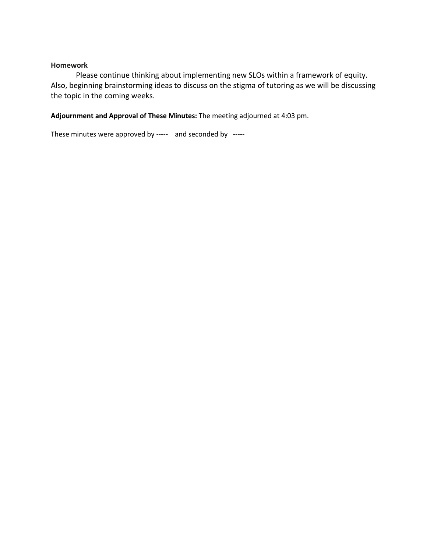# **Homework**

Please continue thinking about implementing new SLOs within a framework of equity. Also, beginning brainstorming ideas to discuss on the stigma of tutoring as we will be discussing the topic in the coming weeks.

# **Adjournment and Approval of These Minutes:** The meeting adjourned at 4:03 pm.

These minutes were approved by ----- and seconded by -----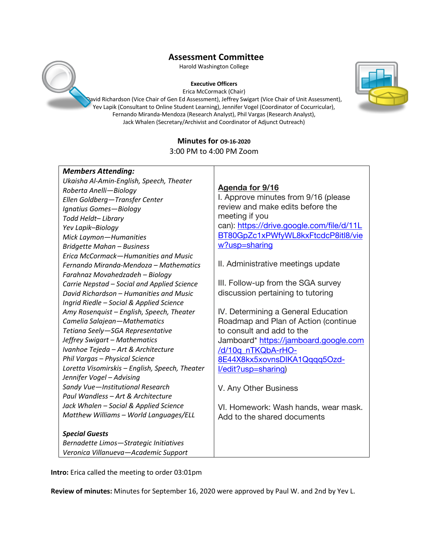Harold Washington College

#### **Executive Officers**

Erica McCormack (Chair)

David Richardson (Vice Chair of Gen Ed Assessment), Jeffrey Swigart (Vice Chair of Unit Assessment), Yev Lapik (Consultant to Online Student Learning), Jennifer Vogel (Coordinator of Cocurricular), Fernando Miranda-Mendoza (Research Analyst), Phil Vargas (Research Analyst), Jack Whalen (Secretary/Archivist and Coordinator of Adjunct Outreach)

# **Minutes for O9-16-2020** 3:00 PM to 4:00 PM Zoom

| <b>Members Attending:</b>                      |                                           |
|------------------------------------------------|-------------------------------------------|
| Ukaisha Al-Amin-English, Speech, Theater       |                                           |
| Roberta Anelli-Biology                         | Agenda for 9/16                           |
| Ellen Goldberg-Transfer Center                 | I. Approve minutes from 9/16 (please      |
| Ignatius Gomes-Biology                         | review and make edits before the          |
| Todd Heldt-Library                             | meeting if you                            |
| Yev Lapik-Biology                              | can): https://drive.google.com/file/d/11L |
| Mick Laymon-Humanities                         | BT80GpZc1xPWfyWL8kxFtcdcP8itl8/vie        |
| <b>Bridgette Mahan - Business</b>              | w?usp=sharing                             |
| Erica McCormack-Humanities and Music           |                                           |
| Fernando Miranda-Mendoza – Mathematics         | II. Administrative meetings update        |
| Farahnaz Movahedzadeh - Biology                |                                           |
| Carrie Nepstad - Social and Applied Science    | III. Follow-up from the SGA survey        |
| David Richardson – Humanities and Music        | discussion pertaining to tutoring         |
| Ingrid Riedle - Social & Applied Science       |                                           |
| Amy Rosenquist - English, Speech, Theater      | IV. Determining a General Education       |
| Camelia Salajean-Mathematics                   | Roadmap and Plan of Action (continue      |
| Tetiana Seely-SGA Representative               | to consult and add to the                 |
| Jeffrey Swigart - Mathematics                  | Jamboard* https://jamboard.google.com     |
| Ivanhoe Tejeda - Art & Architecture            | /d/10q_nTKQbA-rHO-                        |
| Phil Vargas - Physical Science                 | 8E44X8kx5xovnsDIKA1Qqqq5Ozd-              |
| Loretta Visomirskis - English, Speech, Theater | I/edit?usp=sharing)                       |
| Jennifer Vogel - Advising                      |                                           |
| Sandy Vue-Institutional Research               | V. Any Other Business                     |
| Paul Wandless - Art & Architecture             |                                           |
| Jack Whalen - Social & Applied Science         | VI. Homework: Wash hands, wear mask.      |
| Matthew Williams - World Languages/ELL         | Add to the shared documents               |
|                                                |                                           |
| <b>Special Guests</b>                          |                                           |
| Bernadette Limos-Strategic Initiatives         |                                           |
| Veronica Villanueva-Academic Support           |                                           |

**Intro:** Erica called the meeting to order 03:01pm

**Review of minutes:** Minutes for September 16, 2020 were approved by Paul W. and 2nd by Yev L.

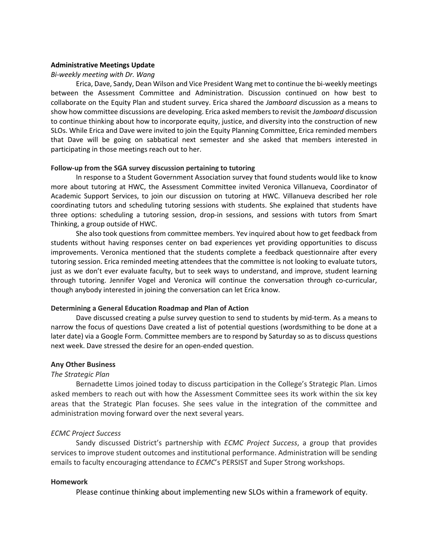# **Administrative Meetings Update**

#### *Bi-weekly meeting with Dr. Wang*

Erica, Dave, Sandy, Dean Wilson and Vice President Wang met to continue the bi-weekly meetings between the Assessment Committee and Administration. Discussion continued on how best to collaborate on the Equity Plan and student survey. Erica shared the *Jamboard* discussion as a means to show how committee discussions are developing. Erica asked members to revisit the *Jamboard* discussion to continue thinking about how to incorporate equity, justice, and diversity into the construction of new SLOs. While Erica and Dave were invited to join the Equity Planning Committee, Erica reminded members that Dave will be going on sabbatical next semester and she asked that members interested in participating in those meetings reach out to her.

### **Follow-up from the SGA survey discussion pertaining to tutoring**

In response to a Student Government Association survey that found students would like to know more about tutoring at HWC, the Assessment Committee invited Veronica Villanueva, Coordinator of Academic Support Services, to join our discussion on tutoring at HWC. Villanueva described her role coordinating tutors and scheduling tutoring sessions with students. She explained that students have three options: scheduling a tutoring session, drop-in sessions, and sessions with tutors from Smart Thinking, a group outside of HWC.

She also took questions from committee members. Yev inquired about how to get feedback from students without having responses center on bad experiences yet providing opportunities to discuss improvements. Veronica mentioned that the students complete a feedback questionnaire after every tutoring session. Erica reminded meeting attendees that the committee is not looking to evaluate tutors, just as we don't ever evaluate faculty, but to seek ways to understand, and improve, student learning through tutoring. Jennifer Vogel and Veronica will continue the conversation through co-curricular, though anybody interested in joining the conversation can let Erica know.

#### **Determining a General Education Roadmap and Plan of Action**

Dave discussed creating a pulse survey question to send to students by mid-term. As a means to narrow the focus of questions Dave created a list of potential questions (wordsmithing to be done at a later date) via a Google Form. Committee members are to respond by Saturday so as to discuss questions next week. Dave stressed the desire for an open-ended question.

# **Any Other Business**

# *The Strategic Plan*

Bernadette Limos joined today to discuss participation in the College's Strategic Plan. Limos asked members to reach out with how the Assessment Committee sees its work within the six key areas that the Strategic Plan focuses. She sees value in the integration of the committee and administration moving forward over the next several years.

# *ECMC Project Success*

Sandy discussed District's partnership with *ECMC Project Success*, a group that provides services to improve student outcomes and institutional performance. Administration will be sending emails to faculty encouraging attendance to *ECMC*'s PERSIST and Super Strong workshops.

# **Homework**

Please continue thinking about implementing new SLOs within a framework of equity.